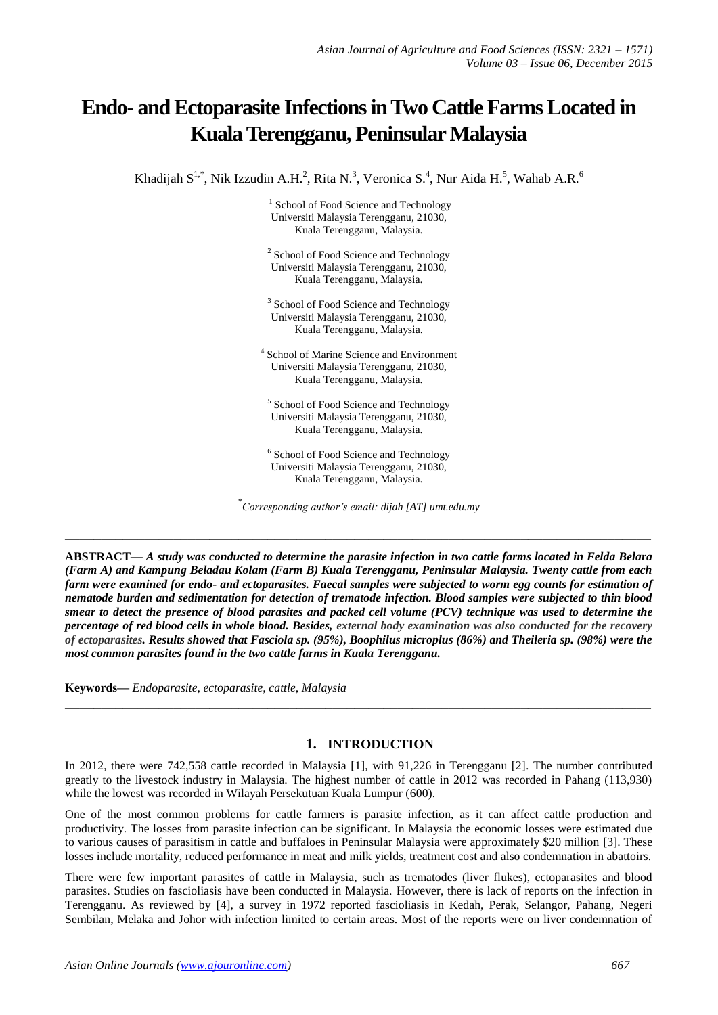# **Endo- and Ectoparasite Infections in Two Cattle Farms Located in Kuala Terengganu, Peninsular Malaysia**

Khadijah  $S^{1,*}$ , Nik Izzudin A.H.<sup>2</sup>, Rita N.<sup>3</sup>, Veronica S.<sup>4</sup>, Nur Aida H.<sup>5</sup>, Wahab A.R.<sup>6</sup>

<sup>1</sup> School of Food Science and Technology Universiti Malaysia Terengganu, 21030, Kuala Terengganu, Malaysia.

<sup>2</sup> School of Food Science and Technology Universiti Malaysia Terengganu, 21030, Kuala Terengganu, Malaysia.

<sup>3</sup> School of Food Science and Technology Universiti Malaysia Terengganu, 21030, Kuala Terengganu, Malaysia.

4 School of Marine Science and Environment Universiti Malaysia Terengganu, 21030, Kuala Terengganu, Malaysia.

5 School of Food Science and Technology Universiti Malaysia Terengganu, 21030, Kuala Terengganu, Malaysia.

<sup>6</sup> School of Food Science and Technology Universiti Malaysia Terengganu, 21030, Kuala Terengganu, Malaysia.

\* *Corresponding author's email: dijah [AT] umt.edu.my*

**\_\_\_\_\_\_\_\_\_\_\_\_\_\_\_\_\_\_\_\_\_\_\_\_\_\_\_\_\_\_\_\_\_\_\_\_\_\_\_\_\_\_\_\_\_\_\_\_\_\_\_\_\_\_\_\_\_\_\_\_\_\_\_\_\_\_\_\_\_\_\_\_\_\_\_\_\_\_\_\_\_**

**ABSTRACT—** *A study was conducted to determine the parasite infection in two cattle farms located in Felda Belara (Farm A) and Kampung Beladau Kolam (Farm B) Kuala Terengganu, Peninsular Malaysia. Twenty cattle from each farm were examined for endo- and ectoparasites. Faecal samples were subjected to worm egg counts for estimation of nematode burden and sedimentation for detection of trematode infection. Blood samples were subjected to thin blood smear to detect the presence of blood parasites and packed cell volume (PCV) technique was used to determine the percentage of red blood cells in whole blood. Besides, external body examination was also conducted for the recovery of ectoparasites. Results showed that Fasciola sp. (95%), Boophilus microplus (86%) and Theileria sp. (98%) were the most common parasites found in the two cattle farms in Kuala Terengganu.*

**Keywords—** *Endoparasite, ectoparasite, cattle, Malaysia*

# **1. INTRODUCTION**

In 2012, there were 742,558 cattle recorded in Malaysia [1], with 91,226 in Terengganu [2]. The number contributed greatly to the livestock industry in Malaysia. The highest number of cattle in 2012 was recorded in Pahang (113,930) while the lowest was recorded in Wilayah Persekutuan Kuala Lumpur (600).

**\_\_\_\_\_\_\_\_\_\_\_\_\_\_\_\_\_\_\_\_\_\_\_\_\_\_\_\_\_\_\_\_\_\_\_\_\_\_\_\_\_\_\_\_\_\_\_\_\_\_\_\_\_\_\_\_\_\_\_\_\_\_\_\_\_\_\_\_\_\_\_\_\_\_\_\_\_\_\_\_\_**

One of the most common problems for cattle farmers is parasite infection, as it can affect cattle production and productivity. The losses from parasite infection can be significant. In Malaysia the economic losses were estimated due to various causes of parasitism in cattle and buffaloes in Peninsular Malaysia were approximately \$20 million [3]. These losses include mortality, reduced performance in meat and milk yields, treatment cost and also condemnation in abattoirs.

There were few important parasites of cattle in Malaysia, such as trematodes (liver flukes), ectoparasites and blood parasites. Studies on fascioliasis have been conducted in Malaysia. However, there is lack of reports on the infection in Terengganu. As reviewed by [4], a survey in 1972 reported fascioliasis in Kedah, Perak, Selangor, Pahang, Negeri Sembilan, Melaka and Johor with infection limited to certain areas. Most of the reports were on liver condemnation of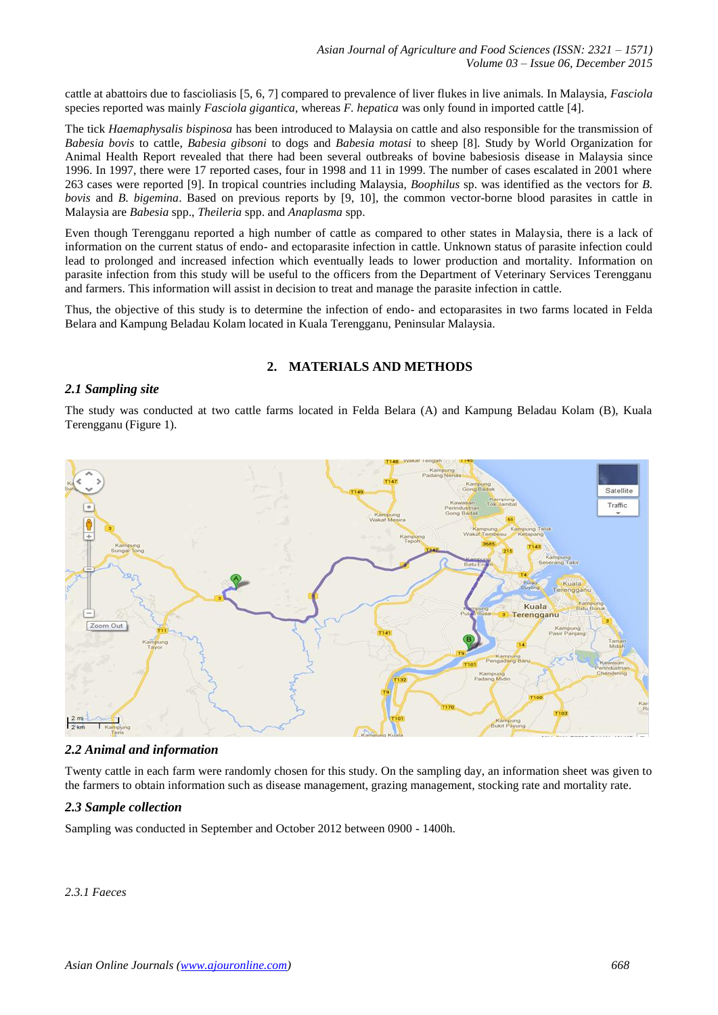cattle at abattoirs due to fascioliasis [5, 6, 7] compared to prevalence of liver flukes in live animals. In Malaysia, *Fasciola* species reported was mainly *Fasciola gigantica,* whereas *F. hepatica* was only found in imported cattle [4].

The tick *Haemaphysalis bispinosa* has been introduced to Malaysia on cattle and also responsible for the transmission of *Babesia bovis* to cattle, *Babesia gibsoni* to dogs and *Babesia motasi* to sheep [8]. Study by World Organization for Animal Health Report revealed that there had been several outbreaks of bovine babesiosis disease in Malaysia since 1996. In 1997, there were 17 reported cases, four in 1998 and 11 in 1999. The number of cases escalated in 2001 where 263 cases were reported [9]. In tropical countries including Malaysia, *Boophilus* sp. was identified as the vectors for *B. bovis* and *B. bigemina*. Based on previous reports by [9, 10], the common vector-borne blood parasites in cattle in Malaysia are *Babesia* spp., *Theileria* spp. and *Anaplasma* spp.

Even though Terengganu reported a high number of cattle as compared to other states in Malaysia, there is a lack of information on the current status of endo- and ectoparasite infection in cattle. Unknown status of parasite infection could lead to prolonged and increased infection which eventually leads to lower production and mortality. Information on parasite infection from this study will be useful to the officers from the Department of Veterinary Services Terengganu and farmers. This information will assist in decision to treat and manage the parasite infection in cattle.

Thus, the objective of this study is to determine the infection of endo- and ectoparasites in two farms located in Felda Belara and Kampung Beladau Kolam located in Kuala Terengganu, Peninsular Malaysia.

# **2. MATERIALS AND METHODS**

#### *2.1 Sampling site*

The study was conducted at two cattle farms located in Felda Belara (A) and Kampung Beladau Kolam (B), Kuala Terengganu (Figure 1).



#### *2.2 Animal and information*

Twenty cattle in each farm were randomly chosen for this study. On the sampling day, an information sheet was given to the farmers to obtain information such as disease management, grazing management, stocking rate and mortality rate.

#### *2.3 Sample collection*

Sampling was conducted in September and October 2012 between 0900 - 1400h.

#### *2.3.1 Faeces*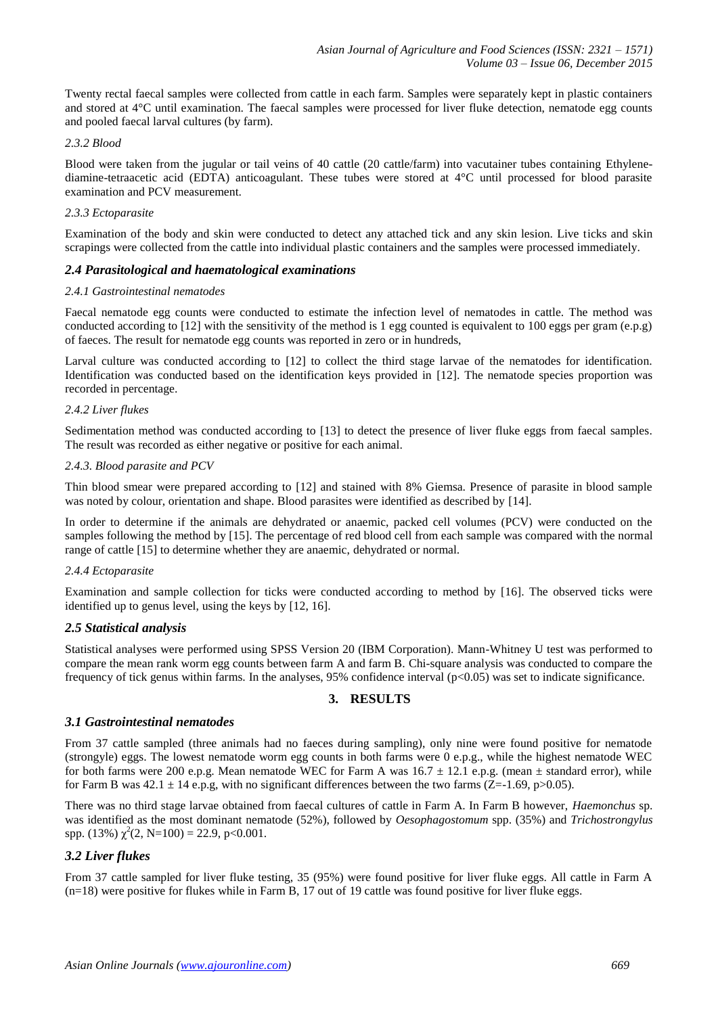Twenty rectal faecal samples were collected from cattle in each farm. Samples were separately kept in plastic containers and stored at 4°C until examination. The faecal samples were processed for liver fluke detection, nematode egg counts and pooled faecal larval cultures (by farm).

#### *2.3.2 Blood*

Blood were taken from the jugular or tail veins of 40 cattle (20 cattle/farm) into vacutainer tubes containing Ethylenediamine-tetraacetic acid (EDTA) anticoagulant. These tubes were stored at 4°C until processed for blood parasite examination and PCV measurement.

## *2.3.3 Ectoparasite*

Examination of the body and skin were conducted to detect any attached tick and any skin lesion. Live ticks and skin scrapings were collected from the cattle into individual plastic containers and the samples were processed immediately.

## *2.4 Parasitological and haematological examinations*

#### *2.4.1 Gastrointestinal nematodes*

Faecal nematode egg counts were conducted to estimate the infection level of nematodes in cattle. The method was conducted according to  $[12]$  with the sensitivity of the method is 1 egg counted is equivalent to 100 eggs per gram (e.p.g) of faeces. The result for nematode egg counts was reported in zero or in hundreds,

Larval culture was conducted according to [12] to collect the third stage larvae of the nematodes for identification. Identification was conducted based on the identification keys provided in [12]. The nematode species proportion was recorded in percentage.

#### *2.4.2 Liver flukes*

Sedimentation method was conducted according to [13] to detect the presence of liver fluke eggs from faecal samples. The result was recorded as either negative or positive for each animal.

#### *2.4.3. Blood parasite and PCV*

Thin blood smear were prepared according to [12] and stained with 8% Giemsa. Presence of parasite in blood sample was noted by colour, orientation and shape. Blood parasites were identified as described by [14].

In order to determine if the animals are dehydrated or anaemic, packed cell volumes (PCV) were conducted on the samples following the method by [15]. The percentage of red blood cell from each sample was compared with the normal range of cattle [15] to determine whether they are anaemic, dehydrated or normal.

#### *2.4.4 Ectoparasite*

Examination and sample collection for ticks were conducted according to method by [16]. The observed ticks were identified up to genus level, using the keys by [12, 16].

# *2.5 Statistical analysis*

Statistical analyses were performed using SPSS Version 20 (IBM Corporation). Mann-Whitney U test was performed to compare the mean rank worm egg counts between farm A and farm B. Chi-square analysis was conducted to compare the frequency of tick genus within farms. In the analyses,  $95\%$  confidence interval ( $p<0.05$ ) was set to indicate significance.

# **3. RESULTS**

# *3.1 Gastrointestinal nematodes*

From 37 cattle sampled (three animals had no faeces during sampling), only nine were found positive for nematode (strongyle) eggs. The lowest nematode worm egg counts in both farms were 0 e.p.g., while the highest nematode WEC for both farms were 200 e.p.g. Mean nematode WEC for Farm A was  $16.7 \pm 12.1$  e.p.g. (mean  $\pm$  standard error), while for Farm B was  $42.1 \pm 14$  e.p.g, with no significant differences between the two farms (Z=-1.69, p>0.05).

There was no third stage larvae obtained from faecal cultures of cattle in Farm A. In Farm B however, *Haemonchus* sp. was identified as the most dominant nematode (52%), followed by *Oesophagostomum* spp. (35%) and *Trichostrongylus* spp. (13%)  $\chi^2(2, N=100) = 22.9$ , p<0.001.

# *3.2 Liver flukes*

From 37 cattle sampled for liver fluke testing, 35 (95%) were found positive for liver fluke eggs. All cattle in Farm A  $(n=18)$  were positive for flukes while in Farm B, 17 out of 19 cattle was found positive for liver fluke eggs.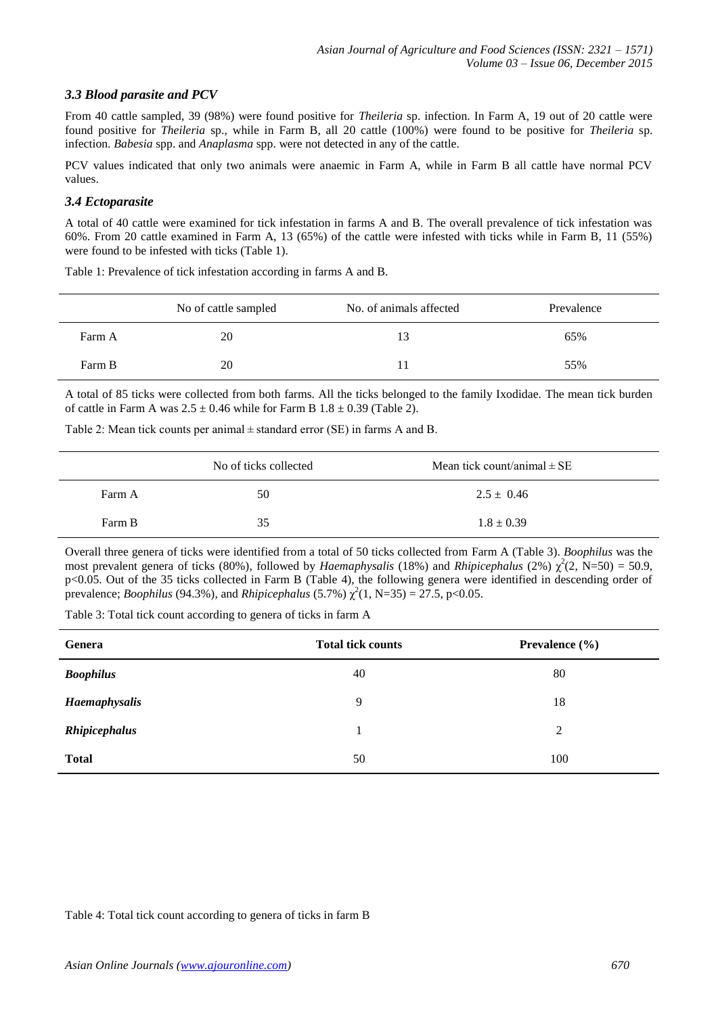# *3.3 Blood parasite and PCV*

From 40 cattle sampled, 39 (98%) were found positive for *Theileria* sp. infection. In Farm A, 19 out of 20 cattle were found positive for *Theileria* sp., while in Farm B, all 20 cattle (100%) were found to be positive for *Theileria* sp. infection. *Babesia* spp. and *Anaplasma* spp. were not detected in any of the cattle.

PCV values indicated that only two animals were anaemic in Farm A, while in Farm B all cattle have normal PCV values.

## *3.4 Ectoparasite*

A total of 40 cattle were examined for tick infestation in farms A and B. The overall prevalence of tick infestation was 60%. From 20 cattle examined in Farm A, 13 (65%) of the cattle were infested with ticks while in Farm B, 11 (55%) were found to be infested with ticks (Table 1).

|        | No of cattle sampled | No. of animals affected | Prevalence |
|--------|----------------------|-------------------------|------------|
| Farm A | 20                   | 13                      | 65%        |
| Farm B | 20                   |                         | 55%        |

Table 1: Prevalence of tick infestation according in farms A and B.

A total of 85 ticks were collected from both farms. All the ticks belonged to the family Ixodidae. The mean tick burden of cattle in Farm A was  $2.5 \pm 0.46$  while for Farm B  $1.8 \pm 0.39$  (Table 2).

Table 2: Mean tick counts per animal ± standard error (SE) in farms A and B.

|        | No of ticks collected | Mean tick count/animal $\pm$ SE |
|--------|-----------------------|---------------------------------|
| Farm A | 50                    | $2.5 \pm 0.46$                  |
| Farm B | 35                    | $1.8 \pm 0.39$                  |

Overall three genera of ticks were identified from a total of 50 ticks collected from Farm A (Table 3). *Boophilus* was the most prevalent genera of ticks (80%), followed by *Haemaphysalis* (18%) and *Rhipicephalus* (2%)  $\chi^2$ (2, N=50) = 50.9, p<0.05. Out of the 35 ticks collected in Farm B (Table 4), the following genera were identified in descending order of prevalence; *Boophilus* (94.3%), and *Rhipicephalus* (5.7%)  $\chi^2(1, N=35) = 27.5$ , p<0.05.

Table 3: Total tick count according to genera of ticks in farm A

| Genera               | <b>Total tick counts</b> | Prevalence $(\% )$ |
|----------------------|--------------------------|--------------------|
| <b>Boophilus</b>     | 40                       | 80                 |
| <b>Haemaphysalis</b> | 9                        | 18                 |
| Rhipicephalus        |                          | 2                  |
| <b>Total</b>         | 50                       | 100                |

Table 4: Total tick count according to genera of ticks in farm B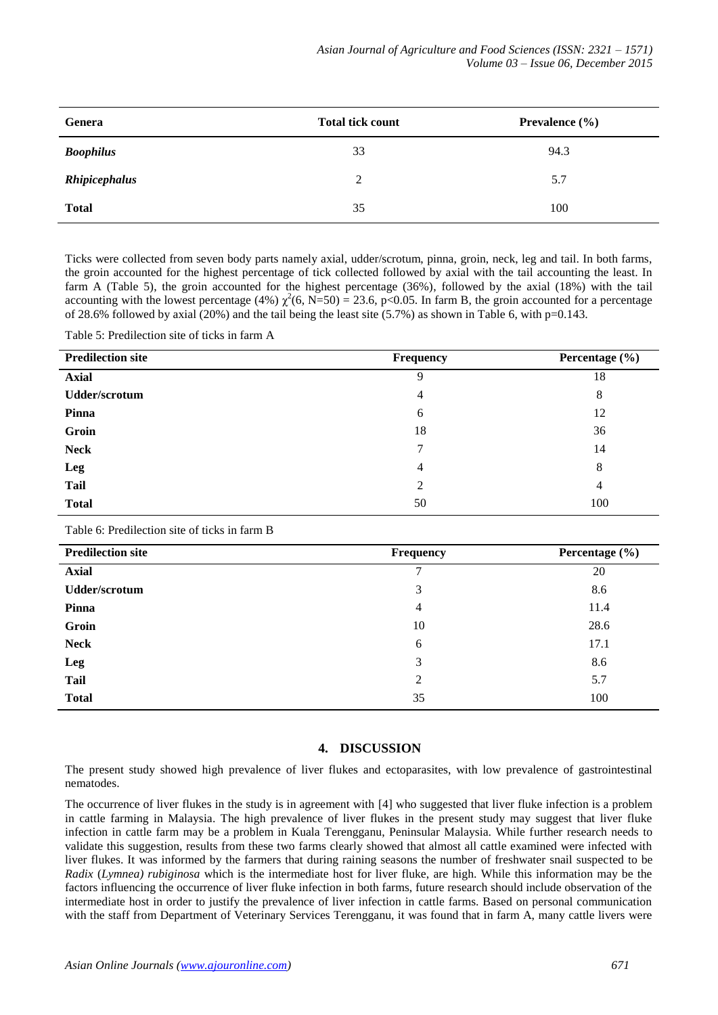| Genera               | <b>Total tick count</b> | Prevalence $(\% )$ |
|----------------------|-------------------------|--------------------|
| <b>Boophilus</b>     | 33                      | 94.3               |
| <b>Rhipicephalus</b> | 2                       | 5.7                |
| <b>Total</b>         | 35                      | 100                |

Ticks were collected from seven body parts namely axial, udder/scrotum, pinna, groin, neck, leg and tail. In both farms, the groin accounted for the highest percentage of tick collected followed by axial with the tail accounting the least. In farm A (Table 5), the groin accounted for the highest percentage (36%), followed by the axial (18%) with the tail accounting with the lowest percentage (4%)  $\chi^2$ (6, N=50) = 23.6, p<0.05. In farm B, the groin accounted for a percentage of 28.6% followed by axial (20%) and the tail being the least site  $(5.7%)$  as shown in Table 6, with p=0.143.

Table 5: Predilection site of ticks in farm A

| <b>Predilection site</b> | <b>Frequency</b> | Percentage $(\% )$ |
|--------------------------|------------------|--------------------|
| <b>Axial</b>             |                  | 18                 |
| <b>Udder/scrotum</b>     | 4                | 8                  |
| Pinna                    | 6                | 12                 |
| Groin                    | 18               | 36                 |
| <b>Neck</b>              | 7                | 14                 |
| Leg                      | 4                | 8                  |
| <b>Tail</b>              | 2                | 4                  |
| <b>Total</b>             | 50               | 100                |

Table 6: Predilection site of ticks in farm B

| <b>Predilection site</b> | <b>Frequency</b> | Percentage $(\% )$ |
|--------------------------|------------------|--------------------|
| <b>Axial</b>             | ⇁                | 20                 |
| <b>Udder/scrotum</b>     | 3                | 8.6                |
| Pinna                    | 4                | 11.4               |
| Groin                    | 10               | 28.6               |
| <b>Neck</b>              | 6                | 17.1               |
| Leg                      | 3                | 8.6                |
| <b>Tail</b>              | $\overline{2}$   | 5.7                |
| <b>Total</b>             | 35               | 100                |

# **4. DISCUSSION**

The present study showed high prevalence of liver flukes and ectoparasites, with low prevalence of gastrointestinal nematodes.

The occurrence of liver flukes in the study is in agreement with [4] who suggested that liver fluke infection is a problem in cattle farming in Malaysia. The high prevalence of liver flukes in the present study may suggest that liver fluke infection in cattle farm may be a problem in Kuala Terengganu, Peninsular Malaysia. While further research needs to validate this suggestion, results from these two farms clearly showed that almost all cattle examined were infected with liver flukes. It was informed by the farmers that during raining seasons the number of freshwater snail suspected to be *Radix* (*Lymnea) rubiginosa* which is the intermediate host for liver fluke, are high. While this information may be the factors influencing the occurrence of liver fluke infection in both farms, future research should include observation of the intermediate host in order to justify the prevalence of liver infection in cattle farms. Based on personal communication with the staff from Department of Veterinary Services Terengganu, it was found that in farm A, many cattle livers were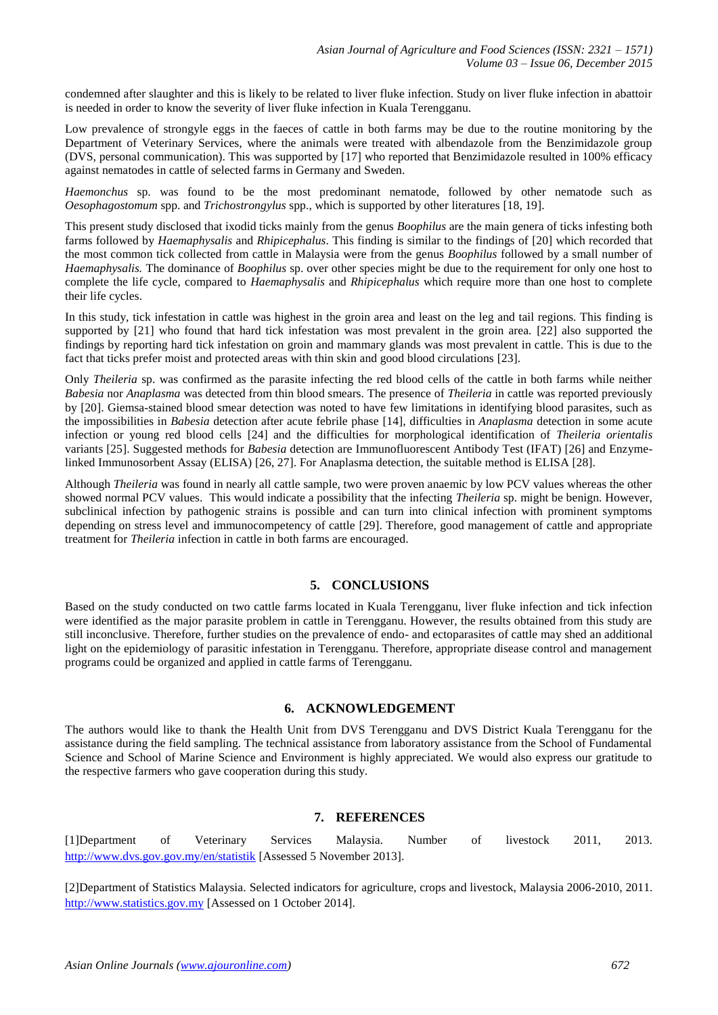condemned after slaughter and this is likely to be related to liver fluke infection. Study on liver fluke infection in abattoir is needed in order to know the severity of liver fluke infection in Kuala Terengganu.

Low prevalence of strongyle eggs in the faeces of cattle in both farms may be due to the routine monitoring by the Department of Veterinary Services, where the animals were treated with albendazole from the Benzimidazole group (DVS, personal communication). This was supported by [17] who reported that Benzimidazole resulted in 100% efficacy against nematodes in cattle of selected farms in Germany and Sweden.

*Haemonchus* sp. was found to be the most predominant nematode, followed by other nematode such as *Oesophagostomum* spp. and *Trichostrongylus* spp., which is supported by other literatures [18, 19].

This present study disclosed that ixodid ticks mainly from the genus *Boophilus* are the main genera of ticks infesting both farms followed by *Haemaphysalis* and *Rhipicephalus*. This finding is similar to the findings of [20] which recorded that the most common tick collected from cattle in Malaysia were from the genus *Boophilus* followed by a small number of *Haemaphysalis.* The dominance of *Boophilus* sp. over other species might be due to the requirement for only one host to complete the life cycle, compared to *Haemaphysalis* and *Rhipicephalus* which require more than one host to complete their life cycles.

In this study, tick infestation in cattle was highest in the groin area and least on the leg and tail regions. This finding is supported by [21] who found that hard tick infestation was most prevalent in the groin area. [22] also supported the findings by reporting hard tick infestation on groin and mammary glands was most prevalent in cattle. This is due to the fact that ticks prefer moist and protected areas with thin skin and good blood circulations [23].

Only *Theileria* sp. was confirmed as the parasite infecting the red blood cells of the cattle in both farms while neither *Babesia* nor *Anaplasma* was detected from thin blood smears. The presence of *Theileria* in cattle was reported previously by [20]. Giemsa-stained blood smear detection was noted to have few limitations in identifying blood parasites, such as the impossibilities in *Babesia* detection after acute febrile phase [14], difficulties in *Anaplasma* detection in some acute infection or young red blood cells [24] and the difficulties for morphological identification of *Theileria orientalis* variants [25]. Suggested methods for *Babesia* detection are Immunofluorescent Antibody Test (IFAT) [26] and Enzymelinked Immunosorbent Assay (ELISA) [26, 27]. For Anaplasma detection, the suitable method is ELISA [28].

Although *Theileria* was found in nearly all cattle sample, two were proven anaemic by low PCV values whereas the other showed normal PCV values. This would indicate a possibility that the infecting *Theileria* sp. might be benign. However, subclinical infection by pathogenic strains is possible and can turn into clinical infection with prominent symptoms depending on stress level and immunocompetency of cattle [29]. Therefore, good management of cattle and appropriate treatment for *Theileria* infection in cattle in both farms are encouraged.

# **5. CONCLUSIONS**

Based on the study conducted on two cattle farms located in Kuala Terengganu, liver fluke infection and tick infection were identified as the major parasite problem in cattle in Terengganu. However, the results obtained from this study are still inconclusive. Therefore, further studies on the prevalence of endo- and ectoparasites of cattle may shed an additional light on the epidemiology of parasitic infestation in Terengganu. Therefore, appropriate disease control and management programs could be organized and applied in cattle farms of Terengganu.

## **6. ACKNOWLEDGEMENT**

The authors would like to thank the Health Unit from DVS Terengganu and DVS District Kuala Terengganu for the assistance during the field sampling. The technical assistance from laboratory assistance from the School of Fundamental Science and School of Marine Science and Environment is highly appreciated. We would also express our gratitude to the respective farmers who gave cooperation during this study.

## **7. REFERENCES**

[1]Department of Veterinary Services Malaysia. Number of livestock 2011, 2013. <http://www.dvs.gov.gov.my/en/statistik> [Assessed 5 November 2013].

[2]Department of Statistics Malaysia. Selected indicators for agriculture, crops and livestock, Malaysia 2006-2010, 2011. [http://www.statistics.gov.my](http://www.statistics.gov.my/) [Assessed on 1 October 2014].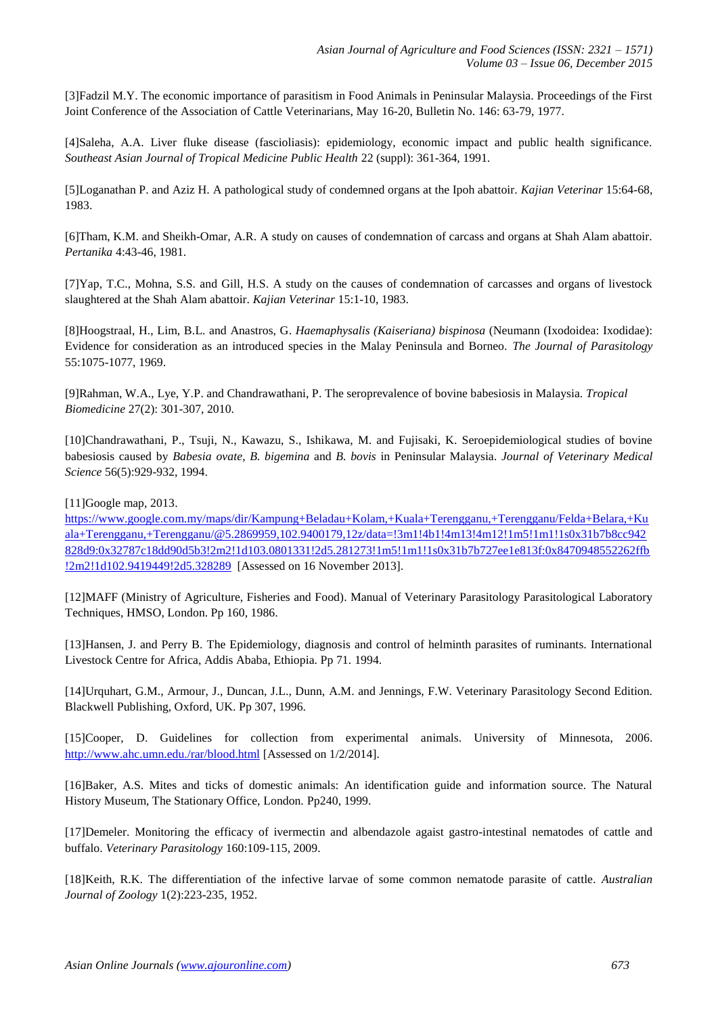[3]Fadzil M.Y. The economic importance of parasitism in Food Animals in Peninsular Malaysia. Proceedings of the First Joint Conference of the Association of Cattle Veterinarians, May 16-20, Bulletin No. 146: 63-79, 1977.

[4]Saleha, A.A. Liver fluke disease (fascioliasis): epidemiology, economic impact and public health significance. *Southeast Asian Journal of Tropical Medicine Public Health* 22 (suppl): 361-364, 1991.

[5]Loganathan P. and Aziz H. A pathological study of condemned organs at the Ipoh abattoir. *Kajian Veterinar* 15:64-68, 1983.

[6]Tham, K.M. and Sheikh-Omar, A.R. A study on causes of condemnation of carcass and organs at Shah Alam abattoir. *Pertanika* 4:43-46, 1981.

[7]Yap, T.C., Mohna, S.S. and Gill, H.S. A study on the causes of condemnation of carcasses and organs of livestock slaughtered at the Shah Alam abattoir. *Kajian Veterinar* 15:1-10, 1983.

[8]Hoogstraal, H., Lim, B.L. and Anastros, G. *Haemaphysalis (Kaiseriana) bispinosa* (Neumann (Ixodoidea: Ixodidae): Evidence for consideration as an introduced species in the Malay Peninsula and Borneo. *The Journal of Parasitology* 55:1075-1077, 1969.

[9]Rahman, W.A., Lye, Y.P. and Chandrawathani, P. The seroprevalence of bovine babesiosis in Malaysia. *Tropical Biomedicine* 27(2): 301-307, 2010.

[10]Chandrawathani, P., Tsuji, N., Kawazu, S., Ishikawa, M. and Fujisaki, K. Seroepidemiological studies of bovine babesiosis caused by *Babesia ovate*, *B. bigemina* and *B. bovis* in Peninsular Malaysia. *Journal of Veterinary Medical Science* 56(5):929-932, 1994.

[11]Google map, 2013.

[https://www.google.com.my/maps/dir/Kampung+Beladau+Kolam,+Kuala+Terengganu,+Terengganu/Felda+Belara,+Ku](https://www.google.com.my/maps/dir/Kampung+Beladau+Kolam,+Kuala+Terengganu,+Terengganu/Felda+Belara,+Kuala+Terengganu,+Terengganu/@5.2869959,102.9400179,12z/data=!3m1!4b1!4m13!4m12!1m5!1m1!1s0x31b7b8cc942828d9:0x32787c18dd90d5b3!2m2!1d103.0801331!2d5.281273!1m5!1m1!1s0x31b7b727ee1e813f:0x8470948552262ffb!2m2!1d102.9419449!2d5.328289) [ala+Terengganu,+Terengganu/@5.2869959,102.9400179,12z/data=!3m1!4b1!4m13!4m12!1m5!1m1!1s0x31b7b8cc942](https://www.google.com.my/maps/dir/Kampung+Beladau+Kolam,+Kuala+Terengganu,+Terengganu/Felda+Belara,+Kuala+Terengganu,+Terengganu/@5.2869959,102.9400179,12z/data=!3m1!4b1!4m13!4m12!1m5!1m1!1s0x31b7b8cc942828d9:0x32787c18dd90d5b3!2m2!1d103.0801331!2d5.281273!1m5!1m1!1s0x31b7b727ee1e813f:0x8470948552262ffb!2m2!1d102.9419449!2d5.328289) [828d9:0x32787c18dd90d5b3!2m2!1d103.0801331!2d5.281273!1m5!1m1!1s0x31b7b727ee1e813f:0x8470948552262ffb](https://www.google.com.my/maps/dir/Kampung+Beladau+Kolam,+Kuala+Terengganu,+Terengganu/Felda+Belara,+Kuala+Terengganu,+Terengganu/@5.2869959,102.9400179,12z/data=!3m1!4b1!4m13!4m12!1m5!1m1!1s0x31b7b8cc942828d9:0x32787c18dd90d5b3!2m2!1d103.0801331!2d5.281273!1m5!1m1!1s0x31b7b727ee1e813f:0x8470948552262ffb!2m2!1d102.9419449!2d5.328289) [!2m2!1d102.9419449!2d5.328289](https://www.google.com.my/maps/dir/Kampung+Beladau+Kolam,+Kuala+Terengganu,+Terengganu/Felda+Belara,+Kuala+Terengganu,+Terengganu/@5.2869959,102.9400179,12z/data=!3m1!4b1!4m13!4m12!1m5!1m1!1s0x31b7b8cc942828d9:0x32787c18dd90d5b3!2m2!1d103.0801331!2d5.281273!1m5!1m1!1s0x31b7b727ee1e813f:0x8470948552262ffb!2m2!1d102.9419449!2d5.328289) [Assessed on 16 November 2013].

[12]MAFF (Ministry of Agriculture, Fisheries and Food). Manual of Veterinary Parasitology Parasitological Laboratory Techniques, HMSO, London. Pp 160, 1986.

[13]Hansen, J. and Perry B. The Epidemiology, diagnosis and control of helminth parasites of ruminants. International Livestock Centre for Africa, Addis Ababa, Ethiopia. Pp 71. 1994.

[14]Urquhart, G.M., Armour, J., Duncan, J.L., Dunn, A.M. and Jennings, F.W. Veterinary Parasitology Second Edition. Blackwell Publishing, Oxford, UK. Pp 307, 1996.

[15]Cooper, D. Guidelines for collection from experimental animals. University of Minnesota, 2006. <http://www.ahc.umn.edu./rar/blood.html> [Assessed on 1/2/2014].

[16]Baker, A.S. Mites and ticks of domestic animals: An identification guide and information source. The Natural History Museum, The Stationary Office, London. Pp240, 1999.

[17]Demeler. Monitoring the efficacy of ivermectin and albendazole agaist gastro-intestinal nematodes of cattle and buffalo. *Veterinary Parasitology* 160:109-115, 2009.

[18]Keith, R.K. The differentiation of the infective larvae of some common nematode parasite of cattle. *Australian Journal of Zoology* 1(2):223-235, 1952.